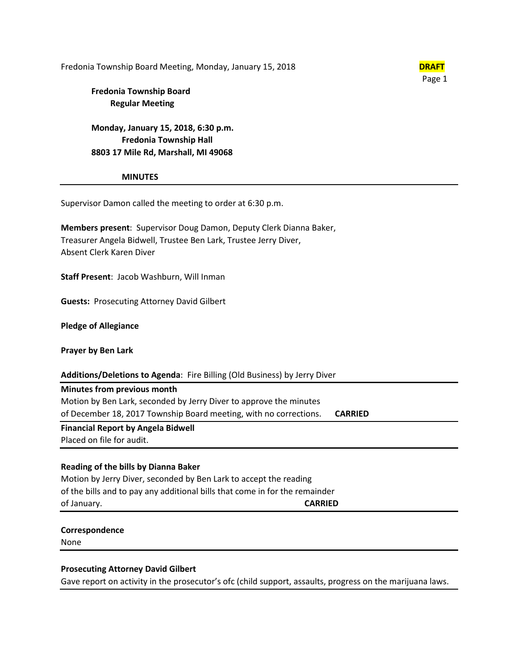Fredonia Township Board Meeting, Monday, January 15, 2018 **DRAFT** 



# **Fredonia Township Board Regular Meeting**

**Monday, January 15, 2018, 6:30 p.m. Fredonia Township Hall 8803 17 Mile Rd, Marshall, MI 49068**

#### **MINUTES**

Supervisor Damon called the meeting to order at 6:30 p.m.

**Members present**: Supervisor Doug Damon, Deputy Clerk Dianna Baker, Treasurer Angela Bidwell, Trustee Ben Lark, Trustee Jerry Diver, Absent Clerk Karen Diver

**Staff Present**: Jacob Washburn, Will Inman

**Guests:** Prosecuting Attorney David Gilbert

**Pledge of Allegiance**

**Prayer by Ben Lark**

## **Additions/Deletions to Agenda**: Fire Billing (Old Business) by Jerry Diver

## **Minutes from previous month**

Motion by Ben Lark, seconded by Jerry Diver to approve the minutes of December 18, 2017 Township Board meeting, with no corrections. **CARRIED**

**Financial Report by Angela Bidwell**

Placed on file for audit.

## **Reading of the bills by Dianna Baker**

Motion by Jerry Diver, seconded by Ben Lark to accept the reading of the bills and to pay any additional bills that come in for the remainder of January. **CARRIED**

## **Correspondence**

None

## **Prosecuting Attorney David Gilbert**

Gave report on activity in the prosecutor's ofc (child support, assaults, progress on the marijuana laws.